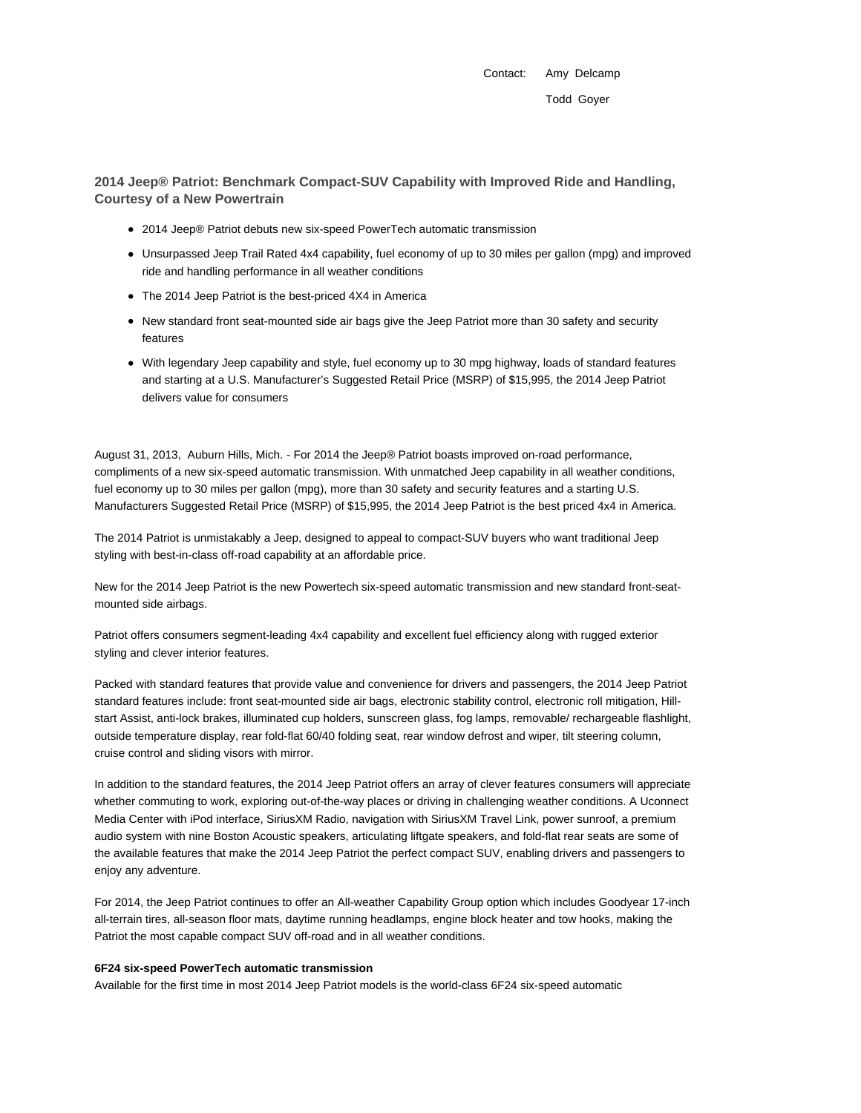Contact: Amy Delcamp Todd Goyer

**2014 Jeep® Patriot: Benchmark Compact-SUV Capability with Improved Ride and Handling, Courtesy of a New Powertrain**

- 2014 Jeep® Patriot debuts new six-speed PowerTech automatic transmission
- Unsurpassed Jeep Trail Rated 4x4 capability, fuel economy of up to 30 miles per gallon (mpg) and improved ride and handling performance in all weather conditions
- The 2014 Jeep Patriot is the best-priced 4X4 in America
- New standard front seat-mounted side air bags give the Jeep Patriot more than 30 safety and security features
- With legendary Jeep capability and style, fuel economy up to 30 mpg highway, loads of standard features and starting at a U.S. Manufacturer's Suggested Retail Price (MSRP) of \$15,995, the 2014 Jeep Patriot delivers value for consumers

August 31, 2013, Auburn Hills, Mich. - For 2014 the Jeep® Patriot boasts improved on-road performance, compliments of a new six-speed automatic transmission. With unmatched Jeep capability in all weather conditions, fuel economy up to 30 miles per gallon (mpg), more than 30 safety and security features and a starting U.S. Manufacturers Suggested Retail Price (MSRP) of \$15,995, the 2014 Jeep Patriot is the best priced 4x4 in America.

The 2014 Patriot is unmistakably a Jeep, designed to appeal to compact-SUV buyers who want traditional Jeep styling with best-in-class off-road capability at an affordable price.

New for the 2014 Jeep Patriot is the new Powertech six-speed automatic transmission and new standard front-seatmounted side airbags.

Patriot offers consumers segment-leading 4x4 capability and excellent fuel efficiency along with rugged exterior styling and clever interior features.

Packed with standard features that provide value and convenience for drivers and passengers, the 2014 Jeep Patriot standard features include: front seat-mounted side air bags, electronic stability control, electronic roll mitigation, Hillstart Assist, anti-lock brakes, illuminated cup holders, sunscreen glass, fog lamps, removable/ rechargeable flashlight, outside temperature display, rear fold-flat 60/40 folding seat, rear window defrost and wiper, tilt steering column, cruise control and sliding visors with mirror.

In addition to the standard features, the 2014 Jeep Patriot offers an array of clever features consumers will appreciate whether commuting to work, exploring out-of-the-way places or driving in challenging weather conditions. A Uconnect Media Center with iPod interface, SiriusXM Radio, navigation with SiriusXM Travel Link, power sunroof, a premium audio system with nine Boston Acoustic speakers, articulating liftgate speakers, and fold-flat rear seats are some of the available features that make the 2014 Jeep Patriot the perfect compact SUV, enabling drivers and passengers to enjoy any adventure.

For 2014, the Jeep Patriot continues to offer an All-weather Capability Group option which includes Goodyear 17-inch all-terrain tires, all-season floor mats, daytime running headlamps, engine block heater and tow hooks, making the Patriot the most capable compact SUV off-road and in all weather conditions.

#### **6F24 six-speed PowerTech automatic transmission**

Available for the first time in most 2014 Jeep Patriot models is the world-class 6F24 six-speed automatic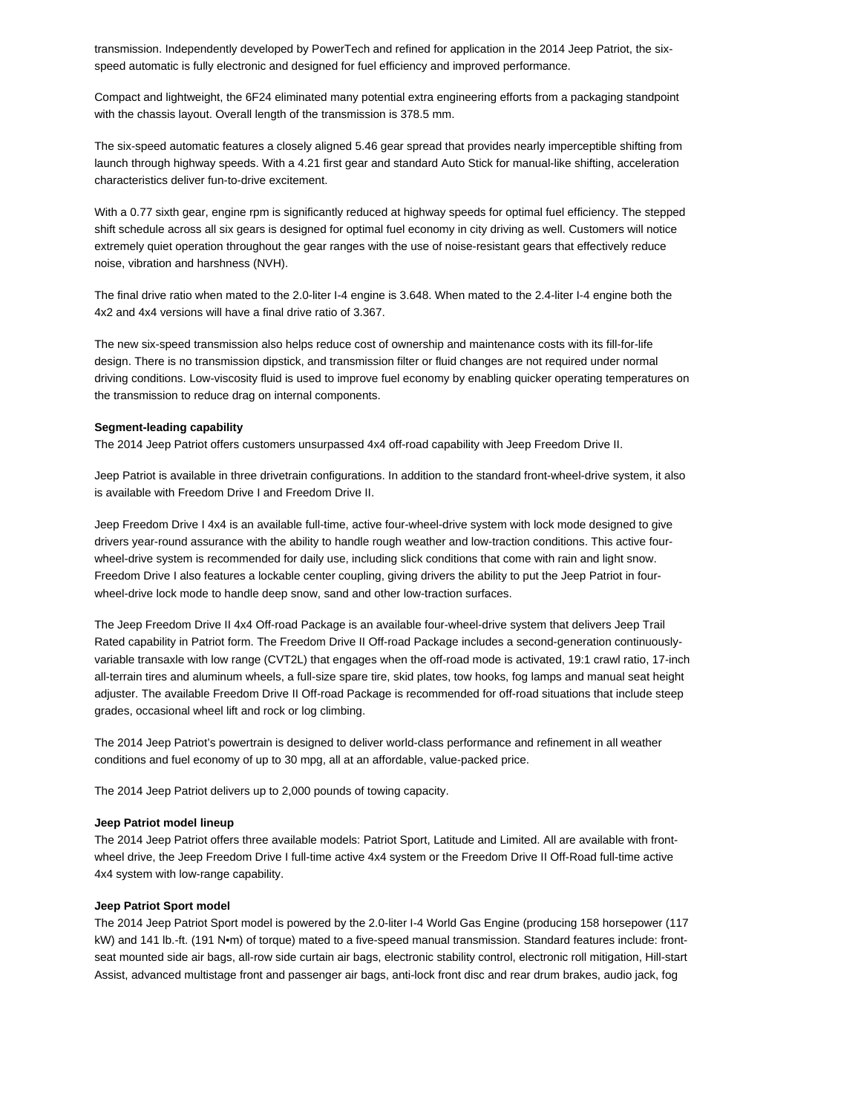transmission. Independently developed by PowerTech and refined for application in the 2014 Jeep Patriot, the sixspeed automatic is fully electronic and designed for fuel efficiency and improved performance.

Compact and lightweight, the 6F24 eliminated many potential extra engineering efforts from a packaging standpoint with the chassis layout. Overall length of the transmission is 378.5 mm.

The six-speed automatic features a closely aligned 5.46 gear spread that provides nearly imperceptible shifting from launch through highway speeds. With a 4.21 first gear and standard Auto Stick for manual-like shifting, acceleration characteristics deliver fun-to-drive excitement.

With a 0.77 sixth gear, engine rpm is significantly reduced at highway speeds for optimal fuel efficiency. The stepped shift schedule across all six gears is designed for optimal fuel economy in city driving as well. Customers will notice extremely quiet operation throughout the gear ranges with the use of noise-resistant gears that effectively reduce noise, vibration and harshness (NVH).

The final drive ratio when mated to the 2.0-liter I-4 engine is 3.648. When mated to the 2.4-liter I-4 engine both the 4x2 and 4x4 versions will have a final drive ratio of 3.367.

The new six-speed transmission also helps reduce cost of ownership and maintenance costs with its fill-for-life design. There is no transmission dipstick, and transmission filter or fluid changes are not required under normal driving conditions. Low-viscosity fluid is used to improve fuel economy by enabling quicker operating temperatures on the transmission to reduce drag on internal components.

### **Segment-leading capability**

The 2014 Jeep Patriot offers customers unsurpassed 4x4 off-road capability with Jeep Freedom Drive II.

Jeep Patriot is available in three drivetrain configurations. In addition to the standard front-wheel-drive system, it also is available with Freedom Drive I and Freedom Drive II.

Jeep Freedom Drive I 4x4 is an available full-time, active four-wheel-drive system with lock mode designed to give drivers year-round assurance with the ability to handle rough weather and low-traction conditions. This active fourwheel-drive system is recommended for daily use, including slick conditions that come with rain and light snow. Freedom Drive I also features a lockable center coupling, giving drivers the ability to put the Jeep Patriot in fourwheel-drive lock mode to handle deep snow, sand and other low-traction surfaces.

The Jeep Freedom Drive II 4x4 Off-road Package is an available four-wheel-drive system that delivers Jeep Trail Rated capability in Patriot form. The Freedom Drive II Off-road Package includes a second-generation continuouslyvariable transaxle with low range (CVT2L) that engages when the off-road mode is activated, 19:1 crawl ratio, 17-inch all-terrain tires and aluminum wheels, a full-size spare tire, skid plates, tow hooks, fog lamps and manual seat height adjuster. The available Freedom Drive II Off-road Package is recommended for off-road situations that include steep grades, occasional wheel lift and rock or log climbing.

The 2014 Jeep Patriot's powertrain is designed to deliver world-class performance and refinement in all weather conditions and fuel economy of up to 30 mpg, all at an affordable, value-packed price.

The 2014 Jeep Patriot delivers up to 2,000 pounds of towing capacity.

#### **Jeep Patriot model lineup**

The 2014 Jeep Patriot offers three available models: Patriot Sport, Latitude and Limited. All are available with frontwheel drive, the Jeep Freedom Drive I full-time active 4x4 system or the Freedom Drive II Off-Road full-time active 4x4 system with low-range capability.

## **Jeep Patriot Sport model**

The 2014 Jeep Patriot Sport model is powered by the 2.0-liter I-4 World Gas Engine (producing 158 horsepower (117 kW) and 141 lb.-ft. (191 N•m) of torque) mated to a five-speed manual transmission. Standard features include: frontseat mounted side air bags, all-row side curtain air bags, electronic stability control, electronic roll mitigation, Hill-start Assist, advanced multistage front and passenger air bags, anti-lock front disc and rear drum brakes, audio jack, fog